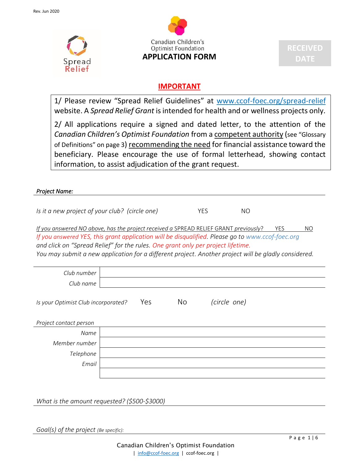



#### **IMPORTANT**

1/ Please review "Spread Relief Guidelines" at www.ccof-foec.org/spread-relief website. A *Spread Relief Grant* is intended for health and or wellness projects only.

2/ All applications require a signed and dated letter, to the attention of the *Canadian Children's Optimist Foundation* from a competent authority (see "Glossary of Definitions" on page 3) recommending the need for financial assistance toward the beneficiary. Please encourage the use of formal letterhead, showing contact information, to assist adjudication of the grant request.

*Project Name:* 

*Is it a new project of your club? (circle one)* YES NO

*If you answered NO above, has the project received a SPREAD RELIEF GRANT previously*? YES NO *If you answered YES, this grant application will be disqualified. Please go to www.ccof-foec.org and click on "Spread Relief" for the rules. One grant only per project lifetime. You may submit a new application for a different project. Another project will be gladly considered.*

| Club number                         |     |                |              |
|-------------------------------------|-----|----------------|--------------|
| Club name                           |     |                |              |
| Is your Optimist Club incorporated? | Yes | N <sub>o</sub> | (circle one) |
| Project contact person              |     |                |              |
| Name                                |     |                |              |
| Member number                       |     |                |              |
| Telephone                           |     |                |              |
| Email                               |     |                |              |
|                                     |     |                |              |

*What is the amount requested? (\$500-\$3000)*

*Goal(s) of the project (Be specific):*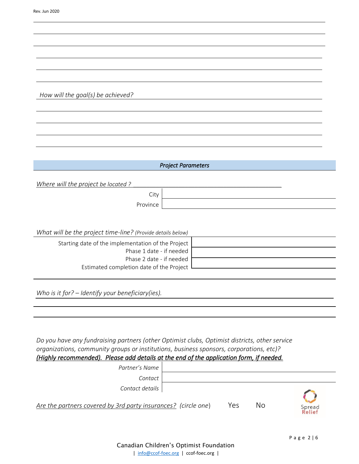|                                                             | <b>Project Parameters</b> |  |  |
|-------------------------------------------------------------|---------------------------|--|--|
|                                                             |                           |  |  |
| Where will the project be located?                          |                           |  |  |
| City                                                        |                           |  |  |
| Province                                                    |                           |  |  |
|                                                             |                           |  |  |
|                                                             |                           |  |  |
|                                                             |                           |  |  |
| What will be the project time-line? (Provide details below) |                           |  |  |
| Starting date of the implementation of the Project          |                           |  |  |
| Phase 1 date - if needed                                    |                           |  |  |
|                                                             |                           |  |  |
| Phase 2 date - if needed                                    |                           |  |  |

*Who is it for? – Identify your beneficiary(ies).*

Estimated completion date of the Project

*How will the goal(s) be achieved?* 

| Do you have any fundraising partners (other Optimist clubs, Optimist districts, other service |
|-----------------------------------------------------------------------------------------------|
| organizations, community groups or institutions, business sponsors, corporations, etc)?       |
| (Highly recommended). Please add details at the end of the application form, if needed.       |

| Partner's Name                                                 |     |    |                  |
|----------------------------------------------------------------|-----|----|------------------|
| Contact                                                        |     |    |                  |
| Contact details                                                |     |    |                  |
| Are the partners covered by 3rd party insurances? (circle one) | Yes | No | Spread<br>Relief |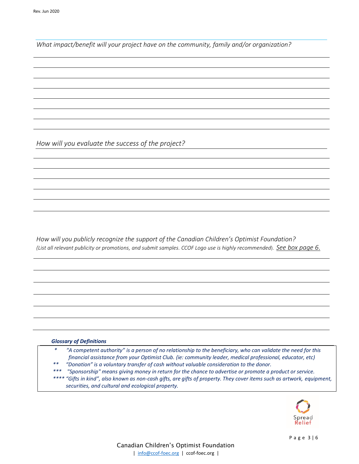*What impact/benefit will your project have on the community, family and/or organization?*

*How will you evaluate the success of the project?* 

*How will you publicly recognize the support of the Canadian Children's Optimist Foundation? (List all relevant publicity or promotions, and submit samples. CCOF Logo use is highly recommended*). *See box page 6*.

#### *Glossary of Definitions*

- *\* "A competent authority" is a person of no relationship to the beneficiary, who can validate the need for this financial assistance from your Optimist Club. (ie: community leader, medical professional, educator, etc)*
- *\*\* "Donation" is a voluntary transfer of cash without valuable consideration to the donor.*
- *\*\*\* "Sponsorship" means giving money in return for the chance to advertise or promote a product or service.*
- *\*\*\*\* "Gifts in kind", also known as non-cash gifts, are gifts of property. They cover items such as artwork, equipment, securities, and cultural and ecological property.*

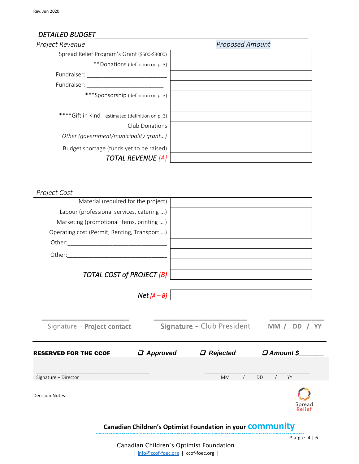#### *DETAILED BUDGET\_\_\_\_\_\_\_\_\_\_\_\_\_\_\_\_\_\_\_\_\_\_\_\_\_\_\_\_\_\_\_\_\_\_\_\_\_\_\_\_\_\_\_\_\_\_\_\_\_\_\_\_\_\_\_\_*

| Project Revenue                                    | <b>Proposed Amount</b> |
|----------------------------------------------------|------------------------|
| Spread Relief Program's Grant (\$500-\$3000)       |                        |
| **Donations (definition on p. 3)                   |                        |
| Fundraiser:                                        |                        |
| Fundraiser:                                        |                        |
| ***Sponsorship (definition on p. 3)                |                        |
|                                                    |                        |
| **** Gift in Kind - estimated (definition on p. 3) |                        |
| Club Donations                                     |                        |
| Other (government/municipality grant)              |                        |
| Budget shortage (funds yet to be raised)           |                        |
| <b>TOTAL REVENUE [A]</b>                           |                        |

*Project Cost* 

| Material (required for the project)                                                                |                                                                                                         |
|----------------------------------------------------------------------------------------------------|---------------------------------------------------------------------------------------------------------|
| Labour (professional services, catering )                                                          |                                                                                                         |
| Marketing (promotional items, printing )                                                           |                                                                                                         |
| Operating cost (Permit, Renting, Transport )                                                       |                                                                                                         |
|                                                                                                    |                                                                                                         |
|                                                                                                    |                                                                                                         |
| <b>TOTAL COST of PROJECT [B]</b>                                                                   |                                                                                                         |
| $Net[A-B]$                                                                                         |                                                                                                         |
| Signature - Project contact<br>$\boldsymbol{\mathcal{Q}}$ Approved<br><b>RESERVED FOR THE CCOF</b> | Signature - Club President<br>MM / DD / YY<br><b>D</b> Amount \$<br>$\boldsymbol{\mathcal{Q}}$ Rejected |
| Signature - Director                                                                               | <b>DD</b><br>YY<br><b>MM</b>                                                                            |
| <b>Decision Notes:</b>                                                                             |                                                                                                         |
|                                                                                                    | Canadian Children's Optimist Foundation in your COMMUNIty                                               |
|                                                                                                    | Page $4 6$<br>$\sigma$ is $\sigma$ in the state of the state of $\sigma$                                |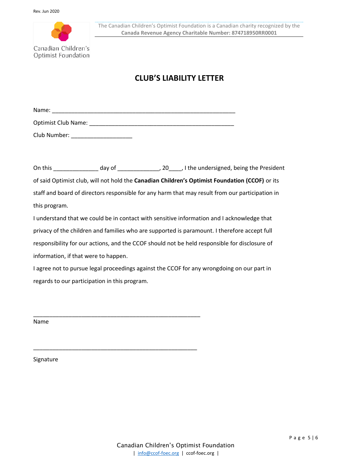

### **CLUB'S LIABILITY LETTER**

| <b>Name</b><br>. |  |  |  |  |
|------------------|--|--|--|--|
|                  |  |  |  |  |

Optimist Club Name: \_\_\_\_\_\_\_\_\_\_\_\_\_\_\_\_\_\_\_\_\_\_\_\_\_\_\_\_\_\_\_\_\_\_\_\_\_\_\_\_\_\_\_\_\_

Club Number: \_\_\_\_\_\_\_\_\_\_\_\_\_\_\_\_\_\_\_

On this \_\_\_\_\_\_\_\_\_\_\_\_\_\_ day of \_\_\_\_\_\_\_\_\_\_\_\_\_\_\_\_\_, 20\_\_\_\_\_, I the undersigned, being the President of said Optimist club, will not hold the **Canadian Children's Optimist Foundation (CCOF)** or its staff and board of directors responsible for any harm that may result from our participation in this program.

I understand that we could be in contact with sensitive information and I acknowledge that privacy of the children and families who are supported is paramount. I therefore accept full responsibility for our actions, and the CCOF should not be held responsible for disclosure of information, if that were to happen.

I agree not to pursue legal proceedings against the CCOF for any wrongdoing on our part in regards to our participation in this program.

\_\_\_\_\_\_\_\_\_\_\_\_\_\_\_\_\_\_\_\_\_\_\_\_\_\_\_\_\_\_\_\_\_\_\_\_\_\_\_\_\_\_\_\_\_\_\_\_\_\_\_\_

\_\_\_\_\_\_\_\_\_\_\_\_\_\_\_\_\_\_\_\_\_\_\_\_\_\_\_\_\_\_\_\_\_\_\_\_\_\_\_\_\_\_\_\_\_\_\_\_\_\_\_

Name

Signature